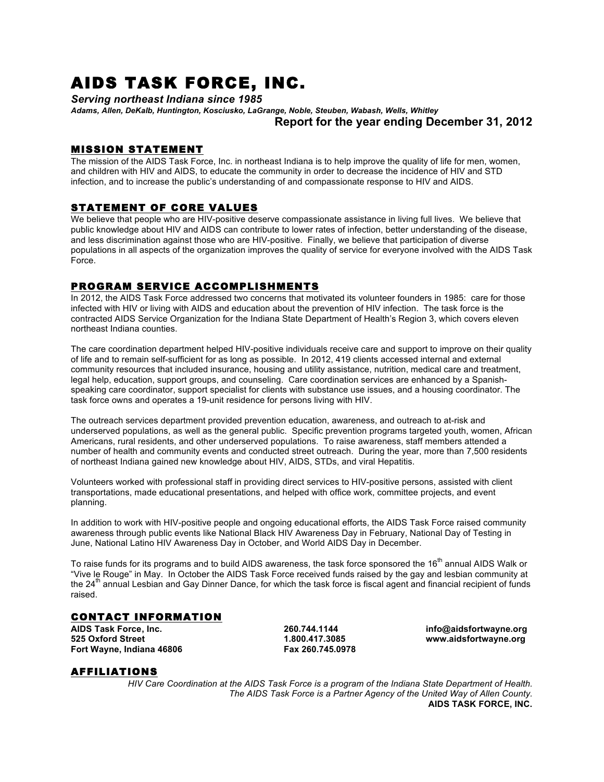# AIDS TASK FORCE, INC.

*Serving northeast Indiana since 1985*

*Adams, Allen, DeKalb, Huntington, Kosciusko, LaGrange, Noble, Steuben, Wabash, Wells, Whitley* **Report for the year ending December 31, 2012**

# MISSION STATEMENT

The mission of the AIDS Task Force, Inc. in northeast Indiana is to help improve the quality of life for men, women, and children with HIV and AIDS, to educate the community in order to decrease the incidence of HIV and STD infection, and to increase the public's understanding of and compassionate response to HIV and AIDS.

# STATEMENT OF CORE VALUES

We believe that people who are HIV-positive deserve compassionate assistance in living full lives. We believe that public knowledge about HIV and AIDS can contribute to lower rates of infection, better understanding of the disease, and less discrimination against those who are HIV-positive. Finally, we believe that participation of diverse populations in all aspects of the organization improves the quality of service for everyone involved with the AIDS Task Force.

# PROGRAM SERVICE ACCOMPLISHMENTS

In 2012, the AIDS Task Force addressed two concerns that motivated its volunteer founders in 1985: care for those infected with HIV or living with AIDS and education about the prevention of HIV infection. The task force is the contracted AIDS Service Organization for the Indiana State Department of Health's Region 3, which covers eleven northeast Indiana counties.

The care coordination department helped HIV-positive individuals receive care and support to improve on their quality of life and to remain self-sufficient for as long as possible. In 2012, 419 clients accessed internal and external community resources that included insurance, housing and utility assistance, nutrition, medical care and treatment, legal help, education, support groups, and counseling. Care coordination services are enhanced by a Spanishspeaking care coordinator, support specialist for clients with substance use issues, and a housing coordinator. The task force owns and operates a 19-unit residence for persons living with HIV.

The outreach services department provided prevention education, awareness, and outreach to at-risk and underserved populations, as well as the general public. Specific prevention programs targeted youth, women, African Americans, rural residents, and other underserved populations. To raise awareness, staff members attended a number of health and community events and conducted street outreach. During the year, more than 7,500 residents of northeast Indiana gained new knowledge about HIV, AIDS, STDs, and viral Hepatitis.

Volunteers worked with professional staff in providing direct services to HIV-positive persons, assisted with client transportations, made educational presentations, and helped with office work, committee projects, and event planning.

In addition to work with HIV-positive people and ongoing educational efforts, the AIDS Task Force raised community awareness through public events like National Black HIV Awareness Day in February, National Day of Testing in June, National Latino HIV Awareness Day in October, and World AIDS Day in December.

To raise funds for its programs and to build AIDS awareness, the task force sponsored the 16<sup>th</sup> annual AIDS Walk or "Vive le Rouge" in May. In October the AIDS Task Force received funds raised by the gay and lesbian community at the  $24<sup>th</sup>$  annual Lesbian and Gay Dinner Dance, for which the task force is fiscal agent and financial recipient of funds raised.

# CONTACT INFORMATION

**AIDS Task Force, Inc. 260.744.1144 info@aidsfortwayne.org 525 Oxford Street 1.800.417.3085 www.aidsfortwayne.org Fort Wayne, Indiana 46806 Fax 260.745.0978**

# AFFILIATIONS

*HIV Care Coordination at the AIDS Task Force is a program of the Indiana State Department of Health. The AIDS Task Force is a Partner Agency of the United Way of Allen County.* **AIDS TASK FORCE, INC.**